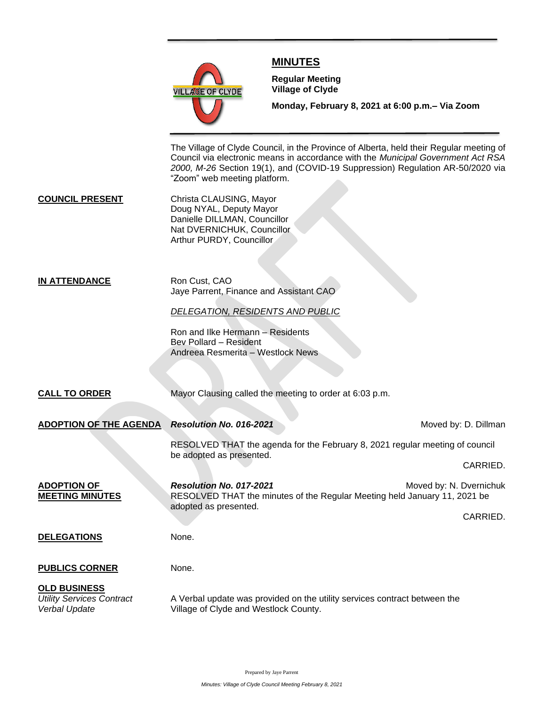

# **MINUTES**

**Meeting**

**Regular Meeting Village of Clyde**

**Monday, February 8, 2021 at 6:00 p.m.– Via Zoom** 

The Village of Clyde Council, in the Province of Alberta, held their Regular meeting of Council via electronic means in accordance with the *Municipal Government Act RSA 2000, M-26* Section 19(1), and (COVID-19 Suppression) Regulation AR-50/2020 via "Zoom" web meeting platform.

**COUNCIL PRESENT** Christa CLAUSING, Mayor Doug NYAL, Deputy Mayor Danielle DILLMAN, Councillor Nat DVERNICHUK, Councillor Arthur PURDY, Councillor

### **IN ATTENDANCE** Ron Cust, CAO Jaye Parrent, Finance and Assistant CAO

## *DELEGATION, RESIDENTS AND PUBLIC*

Ron and Ilke Hermann – Residents Bev Pollard – Resident Andreea Resmerita – Westlock News

**CALL TO ORDER** Mayor Clausing called the meeting to order at 6:03 p.m.

| <b>ADOPTION OF THE AGENDA</b>                                            | Resolution No. 016-2021                                                                                                       | Moved by: D. Dillman    |
|--------------------------------------------------------------------------|-------------------------------------------------------------------------------------------------------------------------------|-------------------------|
|                                                                          | RESOLVED THAT the agenda for the February 8, 2021 regular meeting of council<br>be adopted as presented.                      |                         |
|                                                                          |                                                                                                                               | CARRIED.                |
| <b>ADOPTION OF</b><br><b>MEETING MINUTES</b>                             | Resolution No. 017-2021<br>RESOLVED THAT the minutes of the Regular Meeting held January 11, 2021 be<br>adopted as presented. | Moved by: N. Dvernichuk |
|                                                                          |                                                                                                                               | CARRIED.                |
| <b>DELEGATIONS</b>                                                       | None.                                                                                                                         |                         |
| <b>PUBLICS CORNER</b>                                                    | None.                                                                                                                         |                         |
| <b>OLD BUSINESS</b><br><b>Utility Services Contract</b><br>Verbal Update | A Verbal update was provided on the utility services contract between the<br>Village of Clyde and Westlock County.            |                         |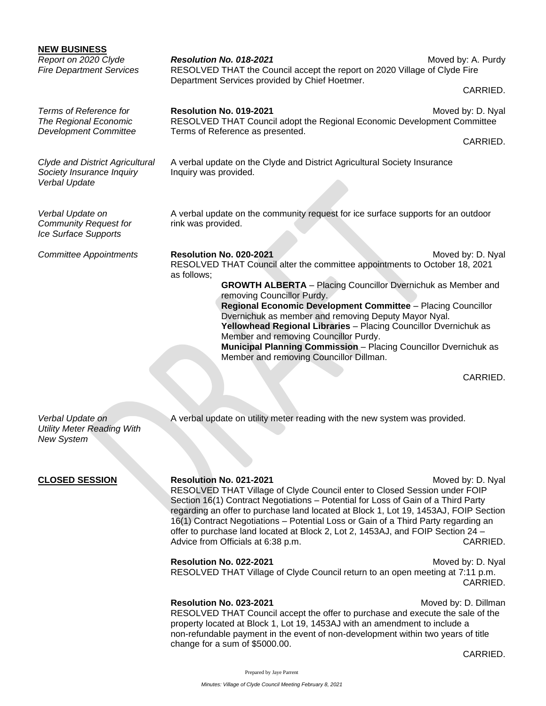| <b>NEW BUSINESS</b><br>Report on 2020 Clyde<br><b>Fire Department Services</b>       | Resolution No. 018-2021<br>RESOLVED THAT the Council accept the report on 2020 Village of Clyde Fire<br>Department Services provided by Chief Hoetmer.                                                                                                                                                                                                                                                                                                                                                                                                                                             | Moved by: A. Purdy<br>CARRIED. |
|--------------------------------------------------------------------------------------|----------------------------------------------------------------------------------------------------------------------------------------------------------------------------------------------------------------------------------------------------------------------------------------------------------------------------------------------------------------------------------------------------------------------------------------------------------------------------------------------------------------------------------------------------------------------------------------------------|--------------------------------|
| Terms of Reference for<br>The Regional Economic<br><b>Development Committee</b>      | Resolution No. 019-2021<br>RESOLVED THAT Council adopt the Regional Economic Development Committee<br>Terms of Reference as presented.                                                                                                                                                                                                                                                                                                                                                                                                                                                             | Moved by: D. Nyal<br>CARRIED.  |
| <b>Clyde and District Agricultural</b><br>Society Insurance Inquiry<br>Verbal Update | A verbal update on the Clyde and District Agricultural Society Insurance<br>Inquiry was provided.                                                                                                                                                                                                                                                                                                                                                                                                                                                                                                  |                                |
| Verbal Update on<br><b>Community Request for</b><br>Ice Surface Supports             | A verbal update on the community request for ice surface supports for an outdoor<br>rink was provided.                                                                                                                                                                                                                                                                                                                                                                                                                                                                                             |                                |
| <b>Committee Appointments</b>                                                        | Resolution No. 020-2021<br>Moved by: D. Nyal<br>RESOLVED THAT Council alter the committee appointments to October 18, 2021<br>as follows;<br><b>GROWTH ALBERTA</b> - Placing Councillor Dvernichuk as Member and<br>removing Councillor Purdy.<br>Regional Economic Development Committee - Placing Councillor<br>Dvernichuk as member and removing Deputy Mayor Nyal.<br>Yellowhead Regional Libraries - Placing Councillor Dvernichuk as<br>Member and removing Councillor Purdy.<br>Municipal Planning Commission - Placing Councillor Dvernichuk as<br>Member and removing Councillor Dillman. |                                |

CARRIED.

Verbal Update on **A** verbal update on utility meter reading with the new system was provided.

*Utility Meter Reading With New System*

**CLOSED SESSION Resolution No. 021-2021** Moved by: D. Nyal RESOLVED THAT Village of Clyde Council enter to Closed Session under FOIP Section 16(1) Contract Negotiations – Potential for Loss of Gain of a Third Party regarding an offer to purchase land located at Block 1, Lot 19, 1453AJ, FOIP Section 16(1) Contract Negotiations – Potential Loss or Gain of a Third Party regarding an offer to purchase land located at Block 2, Lot 2, 1453AJ, and FOIP Section 24 – Advice from Officials at 6:38 p.m. CARRIED.

> **Resolution No. 022-2021** Moved by: D. Nyal RESOLVED THAT Village of Clyde Council return to an open meeting at 7:11 p.m. CARRIED.

**Resolution No. 023-2021** Moved by: D. Dillman RESOLVED THAT Council accept the offer to purchase and execute the sale of the property located at Block 1, Lot 19, 1453AJ with an amendment to include a non-refundable payment in the event of non-development within two years of title change for a sum of \$5000.00.

CARRIED.

Prepared by Jaye Parrent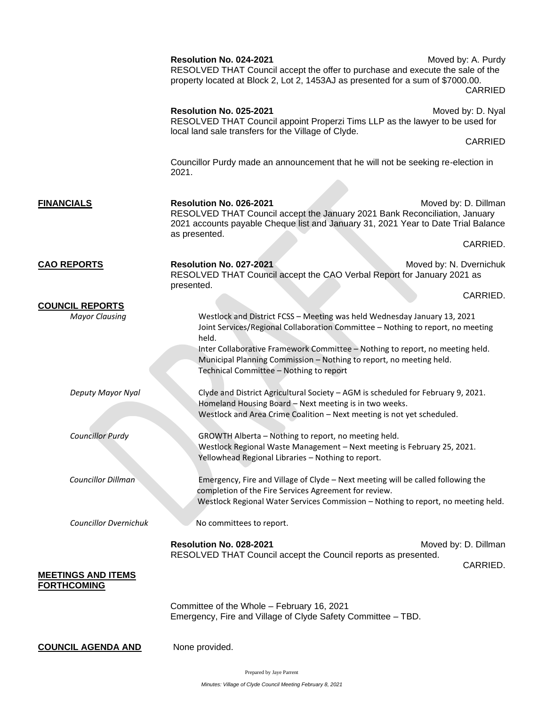|                                                 | Resolution No. 024-2021<br>RESOLVED THAT Council accept the offer to purchase and execute the sale of the<br>property located at Block 2, Lot 2, 1453AJ as presented for a sum of \$7000.00.                                                                                                                                                                            | Moved by: A. Purdy<br>CARRIED    |
|-------------------------------------------------|-------------------------------------------------------------------------------------------------------------------------------------------------------------------------------------------------------------------------------------------------------------------------------------------------------------------------------------------------------------------------|----------------------------------|
|                                                 | Resolution No. 025-2021<br>RESOLVED THAT Council appoint Properzi Tims LLP as the lawyer to be used for<br>local land sale transfers for the Village of Clyde.                                                                                                                                                                                                          | Moved by: D. Nyal                |
|                                                 |                                                                                                                                                                                                                                                                                                                                                                         | CARRIED                          |
|                                                 | Councillor Purdy made an announcement that he will not be seeking re-election in<br>2021.                                                                                                                                                                                                                                                                               |                                  |
| <b>FINANCIALS</b>                               | Resolution No. 026-2021<br>RESOLVED THAT Council accept the January 2021 Bank Reconciliation, January<br>2021 accounts payable Cheque list and January 31, 2021 Year to Date Trial Balance<br>as presented.                                                                                                                                                             | Moved by: D. Dillman             |
|                                                 |                                                                                                                                                                                                                                                                                                                                                                         | CARRIED.                         |
| <b>CAO REPORTS</b>                              | Resolution No. 027-2021<br>Moved by: N. Dvernichuk<br>RESOLVED THAT Council accept the CAO Verbal Report for January 2021 as                                                                                                                                                                                                                                            |                                  |
|                                                 | presented.                                                                                                                                                                                                                                                                                                                                                              | CARRIED.                         |
| <b>COUNCIL REPORTS</b><br><b>Mayor Clausing</b> | Westlock and District FCSS - Meeting was held Wednesday January 13, 2021<br>Joint Services/Regional Collaboration Committee - Nothing to report, no meeting<br>held.<br>Inter Collaborative Framework Committee - Nothing to report, no meeting held.<br>Municipal Planning Commission - Nothing to report, no meeting held.<br>Technical Committee - Nothing to report |                                  |
| Deputy Mayor Nyal                               | Clyde and District Agricultural Society - AGM is scheduled for February 9, 2021.<br>Homeland Housing Board - Next meeting is in two weeks.<br>Westlock and Area Crime Coalition - Next meeting is not yet scheduled.                                                                                                                                                    |                                  |
| <b>Councillor Purdy</b>                         | GROWTH Alberta - Nothing to report, no meeting held.<br>Westlock Regional Waste Management - Next meeting is February 25, 2021.<br>Yellowhead Regional Libraries - Nothing to report.                                                                                                                                                                                   |                                  |
| <b>Councillor Dillman</b>                       | Emergency, Fire and Village of Clyde - Next meeting will be called following the<br>completion of the Fire Services Agreement for review.<br>Westlock Regional Water Services Commission - Nothing to report, no meeting held.                                                                                                                                          |                                  |
| <b>Councillor Dvernichuk</b>                    | No committees to report.                                                                                                                                                                                                                                                                                                                                                |                                  |
|                                                 | Resolution No. 028-2021<br>RESOLVED THAT Council accept the Council reports as presented.                                                                                                                                                                                                                                                                               | Moved by: D. Dillman<br>CARRIED. |
| <b>MEETINGS AND ITEMS</b><br><b>FORTHCOMING</b> |                                                                                                                                                                                                                                                                                                                                                                         |                                  |
|                                                 | Committee of the Whole - February 16, 2021<br>Emergency, Fire and Village of Clyde Safety Committee - TBD.                                                                                                                                                                                                                                                              |                                  |
| <b>COUNCIL AGENDA AND</b>                       | None provided.                                                                                                                                                                                                                                                                                                                                                          |                                  |

Prepared by Jaye Parrent